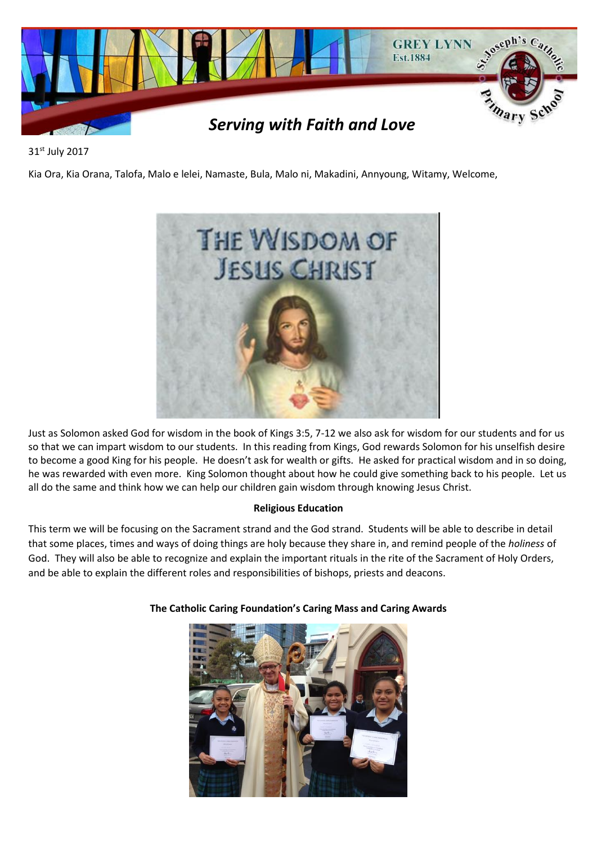

31st July 2017

Kia Ora, Kia Orana, Talofa, Malo e lelei, Namaste, Bula, Malo ni, Makadini, Annyoung, Witamy, Welcome,



Just as Solomon asked God for wisdom in the book of Kings 3:5, 7-12 we also ask for wisdom for our students and for us so that we can impart wisdom to our students. In this reading from Kings, God rewards Solomon for his unselfish desire to become a good King for his people. He doesn't ask for wealth or gifts. He asked for practical wisdom and in so doing, he was rewarded with even more. King Solomon thought about how he could give something back to his people. Let us all do the same and think how we can help our children gain wisdom through knowing Jesus Christ.

# **Religious Education**

This term we will be focusing on the Sacrament strand and the God strand. Students will be able to describe in detail that some places, times and ways of doing things are holy because they share in, and remind people of the *holiness* of God. They will also be able to recognize and explain the important rituals in the rite of the Sacrament of Holy Orders, and be able to explain the different roles and responsibilities of bishops, priests and deacons.



# **The Catholic Caring Foundation's Caring Mass and Caring Awards**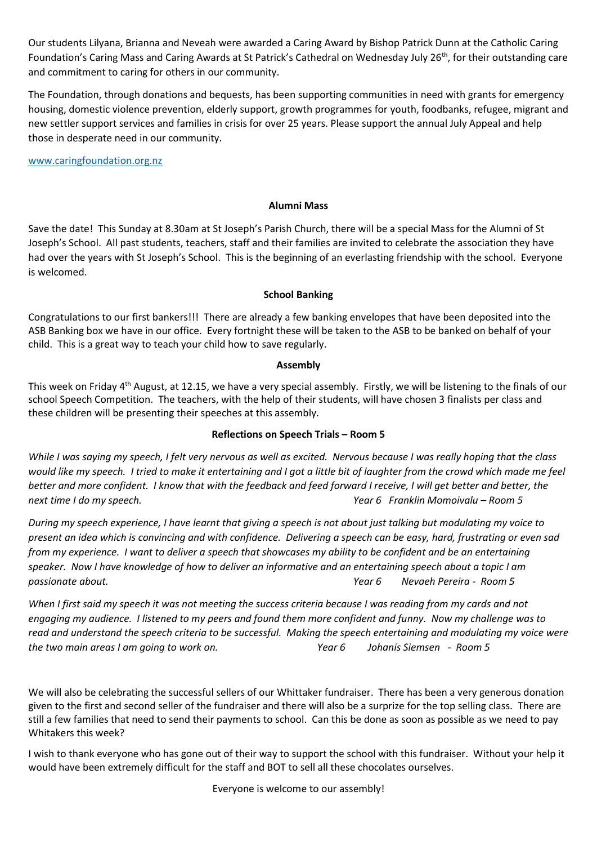Our students Lilyana, Brianna and Neveah were awarded a Caring Award by Bishop Patrick Dunn at the Catholic Caring Foundation's Caring Mass and Caring Awards at St Patrick's Cathedral on Wednesday July 26<sup>th</sup>, for their outstanding care and commitment to caring for others in our community.

The Foundation, through donations and bequests, has been supporting communities in need with grants for emergency housing, domestic violence prevention, elderly support, growth programmes for youth, foodbanks, refugee, migrant and new settler support services and families in crisis for over 25 years. Please support the annual July Appeal and help those in desperate need in our community.

[www.caringfoundation.org.nz](http://www.caringfoundation.org.nz/)

### **Alumni Mass**

Save the date! This Sunday at 8.30am at St Joseph's Parish Church, there will be a special Mass for the Alumni of St Joseph's School. All past students, teachers, staff and their families are invited to celebrate the association they have had over the years with St Joseph's School. This is the beginning of an everlasting friendship with the school. Everyone is welcomed.

### **School Banking**

Congratulations to our first bankers!!! There are already a few banking envelopes that have been deposited into the ASB Banking box we have in our office. Every fortnight these will be taken to the ASB to be banked on behalf of your child. This is a great way to teach your child how to save regularly.

### **Assembly**

This week on Friday 4<sup>th</sup> August, at 12.15, we have a very special assembly. Firstly, we will be listening to the finals of our school Speech Competition. The teachers, with the help of their students, will have chosen 3 finalists per class and these children will be presenting their speeches at this assembly.

# **Reflections on Speech Trials – Room 5**

*While I was saying my speech, I felt very nervous as well as excited. Nervous because I was really hoping that the class would like my speech. I tried to make it entertaining and I got a little bit of laughter from the crowd which made me feel better and more confident. I know that with the feedback and feed forward I receive, I will get better and better, the next time I do my speech. Year 6 Franklin Momoivalu – Room 5*

*During my speech experience, I have learnt that giving a speech is not about just talking but modulating my voice to present an idea which is convincing and with confidence. Delivering a speech can be easy, hard, frustrating or even sad from my experience. I want to deliver a speech that showcases my ability to be confident and be an entertaining speaker. Now I have knowledge of how to deliver an informative and an entertaining speech about a topic I am passionate about. Year 6 Nevaeh Pereira - Room 5*

*When I first said my speech it was not meeting the success criteria because I was reading from my cards and not engaging my audience. I listened to my peers and found them more confident and funny. Now my challenge was to read and understand the speech criteria to be successful. Making the speech entertaining and modulating my voice were the two main areas I am going to work on. Year 6 Johanis Siemsen - Room 5*

We will also be celebrating the successful sellers of our Whittaker fundraiser. There has been a very generous donation given to the first and second seller of the fundraiser and there will also be a surprize for the top selling class. There are still a few families that need to send their payments to school. Can this be done as soon as possible as we need to pay Whitakers this week?

I wish to thank everyone who has gone out of their way to support the school with this fundraiser. Without your help it would have been extremely difficult for the staff and BOT to sell all these chocolates ourselves.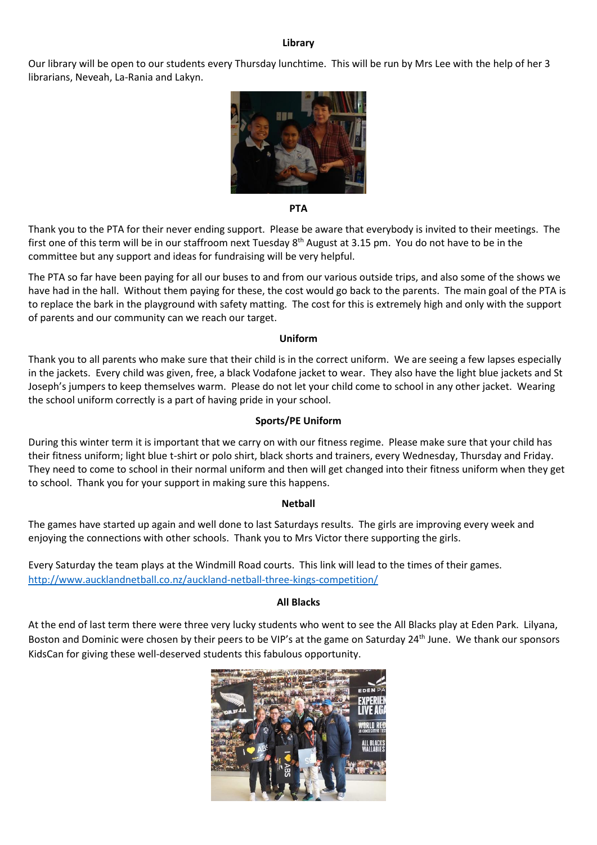#### **Library**

Our library will be open to our students every Thursday lunchtime. This will be run by Mrs Lee with the help of her 3 librarians, Neveah, La-Rania and Lakyn.



**PTA**

Thank you to the PTA for their never ending support. Please be aware that everybody is invited to their meetings. The first one of this term will be in our staffroom next Tuesday 8<sup>th</sup> August at 3.15 pm. You do not have to be in the committee but any support and ideas for fundraising will be very helpful.

The PTA so far have been paying for all our buses to and from our various outside trips, and also some of the shows we have had in the hall. Without them paying for these, the cost would go back to the parents. The main goal of the PTA is to replace the bark in the playground with safety matting. The cost for this is extremely high and only with the support of parents and our community can we reach our target.

#### **Uniform**

Thank you to all parents who make sure that their child is in the correct uniform. We are seeing a few lapses especially in the jackets. Every child was given, free, a black Vodafone jacket to wear. They also have the light blue jackets and St Joseph's jumpers to keep themselves warm. Please do not let your child come to school in any other jacket. Wearing the school uniform correctly is a part of having pride in your school.

#### **Sports/PE Uniform**

During this winter term it is important that we carry on with our fitness regime. Please make sure that your child has their fitness uniform; light blue t-shirt or polo shirt, black shorts and trainers, every Wednesday, Thursday and Friday. They need to come to school in their normal uniform and then will get changed into their fitness uniform when they get to school. Thank you for your support in making sure this happens.

#### **Netball**

The games have started up again and well done to last Saturdays results. The girls are improving every week and enjoying the connections with other schools. Thank you to Mrs Victor there supporting the girls.

Every Saturday the team plays at the Windmill Road courts. This link will lead to the times of their games. <http://www.aucklandnetball.co.nz/auckland-netball-three-kings-competition/>

#### **All Blacks**

At the end of last term there were three very lucky students who went to see the All Blacks play at Eden Park. Lilyana, Boston and Dominic were chosen by their peers to be VIP's at the game on Saturday 24<sup>th</sup> June. We thank our sponsors KidsCan for giving these well-deserved students this fabulous opportunity.

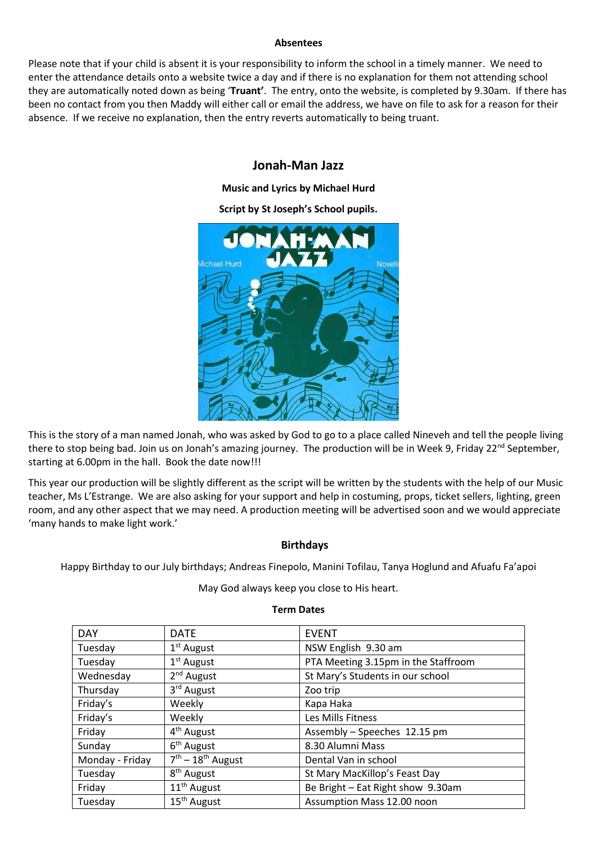#### **Absentees**

Please note that if your child is absent it is your responsibility to inform the school in a timely manner. We need to enter the attendance details onto a website twice a day and if there is no explanation for them not attending school they are automatically noted down as being '**Truant'**. The entry, onto the website, is completed by 9.30am. If there has been no contact from you then Maddy will either call or email the address, we have on file to ask for a reason for their absence. If we receive no explanation, then the entry reverts automatically to being truant.

# **Jonah-Man Jazz**

**Music and Lyrics by Michael Hurd**

**Script by St Joseph's School pupils.** 



This is the story of a man named Jonah, who was asked by God to go to a place called Nineveh and tell the people living there to stop being bad. Join us on Jonah's amazing journey. The production will be in Week 9, Friday 22<sup>nd</sup> September, starting at 6.00pm in the hall. Book the date now!!!

This year our production will be slightly different as the script will be written by the students with the help of our Music teacher, Ms L'Estrange. We are also asking for your support and help in costuming, props, ticket sellers, lighting, green room, and any other aspect that we may need. A production meeting will be advertised soon and we would appreciate 'many hands to make light work.'

# **Birthdays**

Happy Birthday to our July birthdays; Andreas Finepolo, Manini Tofilau, Tanya Hoglund and Afuafu Fa'apoi

May God always keep you close to His heart.

| <b>DAY</b>      | <b>DATE</b>             | <b>EVENT</b>                        |
|-----------------|-------------------------|-------------------------------------|
| Tuesday         | $1st$ August            | NSW English 9.30 am                 |
| Tuesday         | 1 <sup>st</sup> August  | PTA Meeting 3.15pm in the Staffroom |
| Wednesday       | 2 <sup>nd</sup> August  | St Mary's Students in our school    |
| Thursday        | 3 <sup>rd</sup> August  | Zoo trip                            |
| Friday's        | Weekly                  | Kapa Haka                           |
| Friday's        | Weekly                  | Les Mills Fitness                   |
| Friday          | 4 <sup>th</sup> August  | Assembly - Speeches 12.15 pm        |
| Sunday          | 6 <sup>th</sup> August  | 8.30 Alumni Mass                    |
| Monday - Friday | $7th - 18th$ August     | Dental Van in school                |
| Tuesday         | 8 <sup>th</sup> August  | St Mary MacKillop's Feast Day       |
| Friday          | 11 <sup>th</sup> August | Be Bright - Eat Right show 9.30am   |
| Tuesday         | 15 <sup>th</sup> August | Assumption Mass 12.00 noon          |

#### **Term Dates**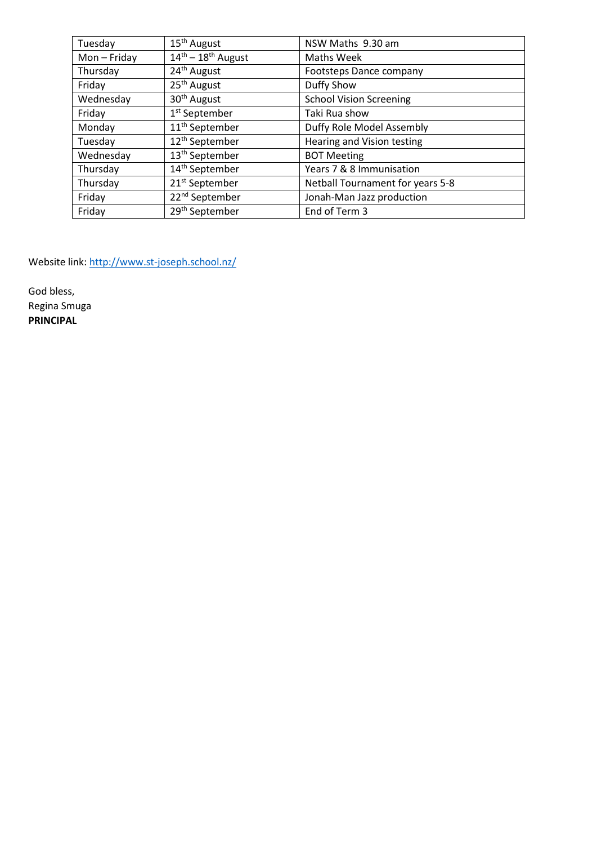| Tuesday      | 15 <sup>th</sup> August                  | NSW Maths 9.30 am                |
|--------------|------------------------------------------|----------------------------------|
| $Mon-Friday$ | $14^{\text{th}} - 18^{\text{th}}$ August | Maths Week                       |
| Thursday     | 24 <sup>th</sup> August                  | Footsteps Dance company          |
| Friday       | 25 <sup>th</sup> August                  | Duffy Show                       |
| Wednesday    | 30 <sup>th</sup> August                  | <b>School Vision Screening</b>   |
| Friday       | 1 <sup>st</sup> September                | Taki Rua show                    |
| Monday       | 11 <sup>th</sup> September               | Duffy Role Model Assembly        |
| Tuesday      | 12 <sup>th</sup> September               | Hearing and Vision testing       |
| Wednesday    | 13 <sup>th</sup> September               | <b>BOT Meeting</b>               |
| Thursday     | 14 <sup>th</sup> September               | Years 7 & 8 Immunisation         |
| Thursday     | 21 <sup>st</sup> September               | Netball Tournament for years 5-8 |
| Friday       | 22 <sup>nd</sup> September               | Jonah-Man Jazz production        |
| Friday       | 29 <sup>th</sup> September               | End of Term 3                    |

Website link:<http://www.st-joseph.school.nz/>

God bless, Regina Smuga **PRINCIPAL**